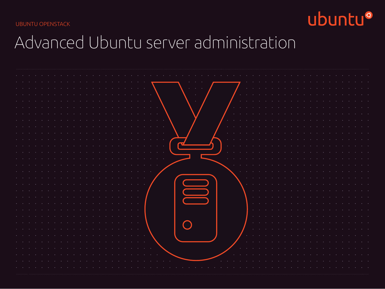UBUNTU OPENSTACK



# Advanced Ubuntu server administration

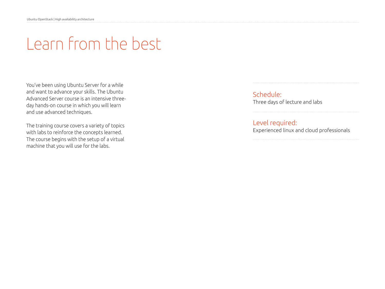# Learn from the best

You've been using Ubuntu Server for a while and want to advance your skills. The Ubuntu Advanced Server course is an intensive threeday hands-on course in which you will learn and use advanced techniques.

The training course covers a variety of topics with labs to reinforce the concepts learned. The course begins with the setup of a virtual machine that you will use for the labs.

Schedule: Three days of lecture and labs

Level required: Experienced linux and cloud professionals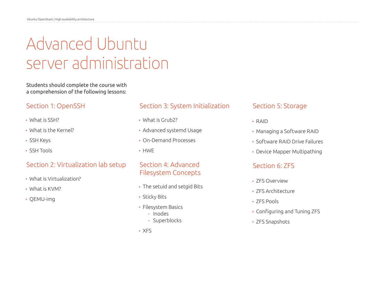# Advanced Ubuntu server administration

Students should complete the course with a comprehension of the following lessons:

# Section 1: OpenSSH

- What is SSH?
- What is the Kernel?
- SSH Keys
- SSH Tools

#### Section 2: Virtualization lab setup

- What is Virtualization?
- What is KVM?
- QEMU-img

### Section 3: System Initialization

- What is Grub2?
- Advanced systemd Usage
- On-Demand Processes
- HWE

## Section 4: Advanced Filesystem Concepts

- The setuid and setgid Bits
- Sticky Bits
- Filesystem Basics
	- Inodes
	- Superblocks
- XFS

## Section 5: Storage

- RAID
- Managing a Software RAID
- Software RAID Drive Failures
- Device Mapper Multipathing

#### Section 6: ZFS

- ZFS Overview
- ZFS Architecture
- ZFS Pools
- Configuring and Tuning ZFS
- ZFS Snapshots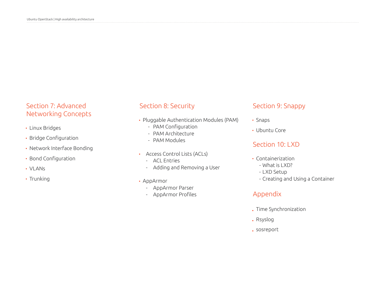# Section 7: Advanced Networking Concepts

- Linux Bridges
- Bridge Configuration
- Network Interface Bonding
- Bond Configuration
- VLANs
- Trunking

# Section 8: Security

- Pluggable Authentication Modules (PAM)
	- PAM Configuration
	- PAM Architecture
	- PAM Modules
- Access Control Lists (ACLs)
	- ACL Entries
	- Adding and Removing a User
- AppArmor
	- AppArmor Parser
	- AppArmor Profiles

## Section 9: Snappy

- Snaps
- Ubuntu Core

#### Section 10: LXD

- Containerization
	- What is LXD?
	- LXD Setup
	- Creating and Using a Container

### Appendix

- Time Synchronization
- Rsyslog
- sosreport